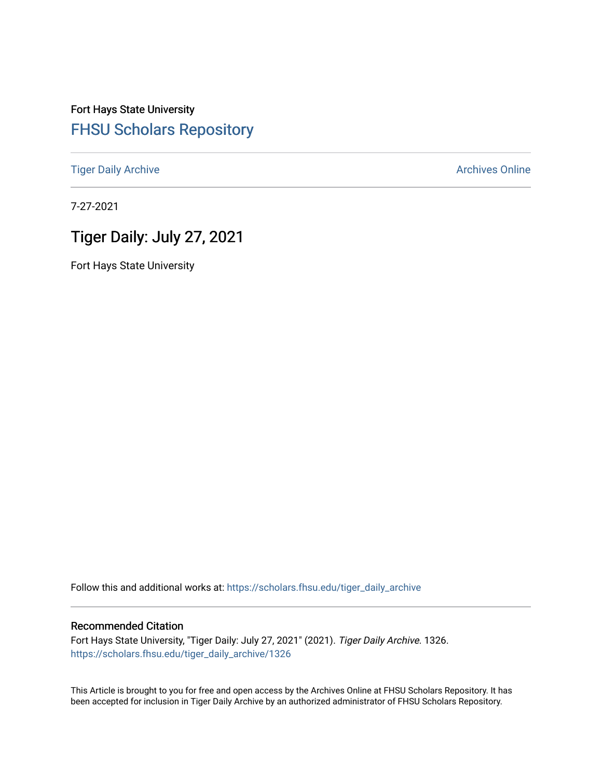## Fort Hays State University [FHSU Scholars Repository](https://scholars.fhsu.edu/)

[Tiger Daily Archive](https://scholars.fhsu.edu/tiger_daily_archive) **Archives** Online Archives Online

7-27-2021

# Tiger Daily: July 27, 2021

Fort Hays State University

Follow this and additional works at: [https://scholars.fhsu.edu/tiger\\_daily\\_archive](https://scholars.fhsu.edu/tiger_daily_archive?utm_source=scholars.fhsu.edu%2Ftiger_daily_archive%2F1326&utm_medium=PDF&utm_campaign=PDFCoverPages)

#### Recommended Citation

Fort Hays State University, "Tiger Daily: July 27, 2021" (2021). Tiger Daily Archive. 1326. [https://scholars.fhsu.edu/tiger\\_daily\\_archive/1326](https://scholars.fhsu.edu/tiger_daily_archive/1326?utm_source=scholars.fhsu.edu%2Ftiger_daily_archive%2F1326&utm_medium=PDF&utm_campaign=PDFCoverPages)

This Article is brought to you for free and open access by the Archives Online at FHSU Scholars Repository. It has been accepted for inclusion in Tiger Daily Archive by an authorized administrator of FHSU Scholars Repository.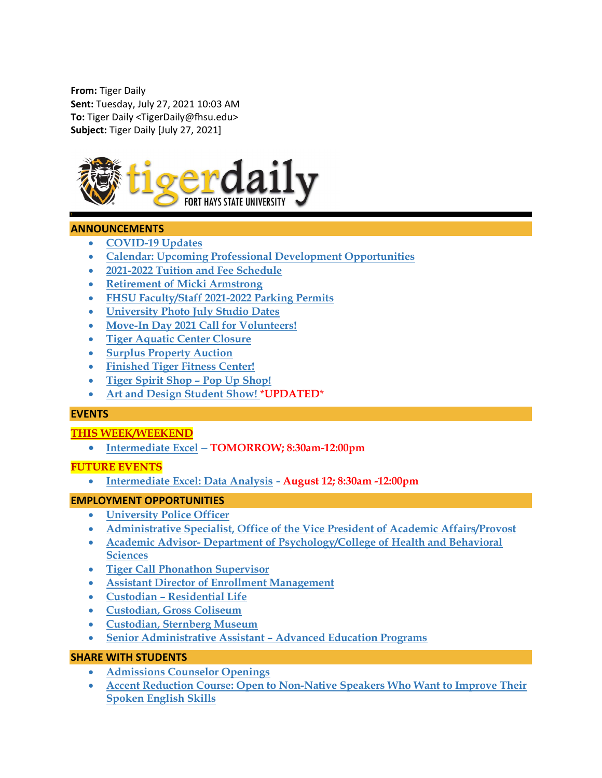From: Tiger Daily Sent: Tuesday, July 27, 2021 10:03 AM To: Tiger Daily <TigerDaily@fhsu.edu> Subject: Tiger Daily [July 27, 2021]



#### ANNOUNCEMENTS

\

- COVID-19 Updates
- Calendar: Upcoming Professional Development Opportunities
- 2021-2022 Tuition and Fee Schedule
- Retirement of Micki Armstrong
- FHSU Faculty/Staff 2021-2022 Parking Permits
- University Photo July Studio Dates
- Move-In Day 2021 Call for Volunteers!
- Tiger Aquatic Center Closure
- Surplus Property Auction
- Finished Tiger Fitness Center!
- Tiger Spirit Shop Pop Up Shop!
- Art and Design Student Show! \*UPDATED\*

#### **EVENTS**

#### THIS WEEK/WEEKEND

Intermediate Excel – TOMORROW; 8:30am-12:00pm

#### FUTURE EVENTS

Intermediate Excel: Data Analysis - August 12; 8:30am -12:00pm

#### EMPLOYMENT OPPORTUNITIES

- University Police Officer
- Administrative Specialist, Office of the Vice President of Academic Affairs/Provost
- Academic Advisor- Department of Psychology/College of Health and Behavioral **Sciences**
- Tiger Call Phonathon Supervisor
- Assistant Director of Enrollment Management
- Custodian Residential Life
- Custodian, Gross Coliseum
- Custodian, Sternberg Museum
- Senior Administrative Assistant Advanced Education Programs

#### SHARE WITH STUDENTS

- Admissions Counselor Openings
- Accent Reduction Course: Open to Non-Native Speakers Who Want to Improve Their Spoken English Skills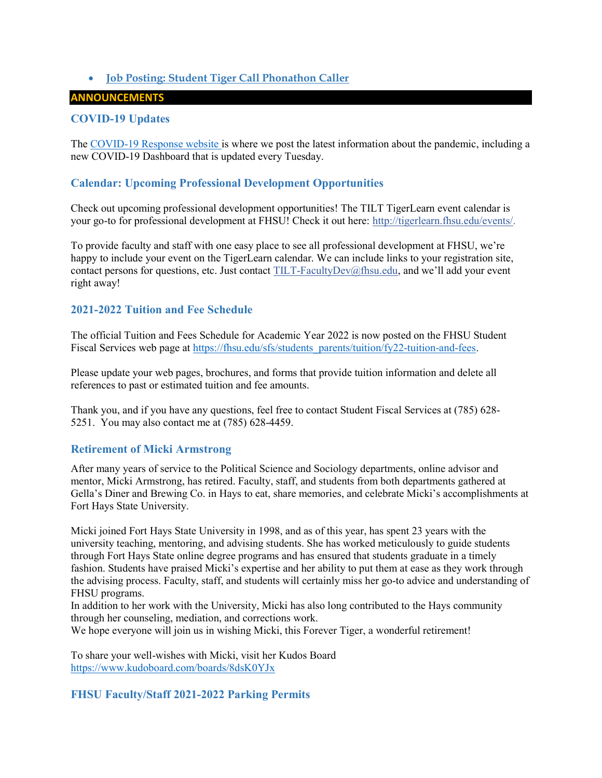## • Job Posting: Student Tiger Call Phonathon Caller

#### ANNOUNCEMENTS

## COVID-19 Updates

The COVID-19 Response website is where we post the latest information about the pandemic, including a new COVID-19 Dashboard that is updated every Tuesday.

#### Calendar: Upcoming Professional Development Opportunities

Check out upcoming professional development opportunities! The TILT TigerLearn event calendar is your go-to for professional development at FHSU! Check it out here: http://tigerlearn.fhsu.edu/events/.

To provide faculty and staff with one easy place to see all professional development at FHSU, we're happy to include your event on the TigerLearn calendar. We can include links to your registration site, contact persons for questions, etc. Just contact TILT-FacultyDev@fhsu.edu, and we'll add your event right away!

#### 2021-2022 Tuition and Fee Schedule

The official Tuition and Fees Schedule for Academic Year 2022 is now posted on the FHSU Student Fiscal Services web page at https://fhsu.edu/sfs/students\_parents/tuition/fy22-tuition-and-fees.

Please update your web pages, brochures, and forms that provide tuition information and delete all references to past or estimated tuition and fee amounts.

Thank you, and if you have any questions, feel free to contact Student Fiscal Services at (785) 628- 5251. You may also contact me at (785) 628-4459.

## Retirement of Micki Armstrong

After many years of service to the Political Science and Sociology departments, online advisor and mentor, Micki Armstrong, has retired. Faculty, staff, and students from both departments gathered at Gella's Diner and Brewing Co. in Hays to eat, share memories, and celebrate Micki's accomplishments at Fort Hays State University.

Micki joined Fort Hays State University in 1998, and as of this year, has spent 23 years with the university teaching, mentoring, and advising students. She has worked meticulously to guide students through Fort Hays State online degree programs and has ensured that students graduate in a timely fashion. Students have praised Micki's expertise and her ability to put them at ease as they work through the advising process. Faculty, staff, and students will certainly miss her go-to advice and understanding of FHSU programs.

In addition to her work with the University, Micki has also long contributed to the Hays community through her counseling, mediation, and corrections work.

We hope everyone will join us in wishing Micki, this Forever Tiger, a wonderful retirement!

To share your well-wishes with Micki, visit her Kudos Board https://www.kudoboard.com/boards/8dsK0YJx

FHSU Faculty/Staff 2021-2022 Parking Permits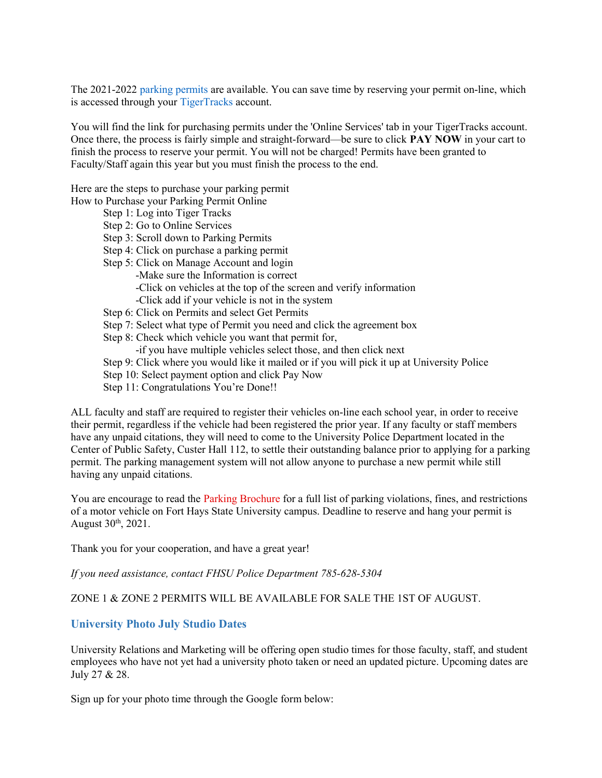The 2021-2022 parking permits are available. You can save time by reserving your permit on-line, which is accessed through your TigerTracks account.

You will find the link for purchasing permits under the 'Online Services' tab in your TigerTracks account. Once there, the process is fairly simple and straight-forward—be sure to click PAY NOW in your cart to finish the process to reserve your permit. You will not be charged! Permits have been granted to Faculty/Staff again this year but you must finish the process to the end.

Here are the steps to purchase your parking permit

How to Purchase your Parking Permit Online

- Step 1: Log into Tiger Tracks
- Step 2: Go to Online Services
- Step 3: Scroll down to Parking Permits
- Step 4: Click on purchase a parking permit
- Step 5: Click on Manage Account and login
	- -Make sure the Information is correct
	- -Click on vehicles at the top of the screen and verify information
	- -Click add if your vehicle is not in the system
- Step 6: Click on Permits and select Get Permits
- Step 7: Select what type of Permit you need and click the agreement box
- Step 8: Check which vehicle you want that permit for,
	- -if you have multiple vehicles select those, and then click next
- Step 9: Click where you would like it mailed or if you will pick it up at University Police
- Step 10: Select payment option and click Pay Now
- Step 11: Congratulations You're Done!!

ALL faculty and staff are required to register their vehicles on-line each school year, in order to receive their permit, regardless if the vehicle had been registered the prior year. If any faculty or staff members have any unpaid citations, they will need to come to the University Police Department located in the Center of Public Safety, Custer Hall 112, to settle their outstanding balance prior to applying for a parking permit. The parking management system will not allow anyone to purchase a new permit while still having any unpaid citations.

You are encourage to read the Parking Brochure for a full list of parking violations, fines, and restrictions of a motor vehicle on Fort Hays State University campus. Deadline to reserve and hang your permit is August 30<sup>th</sup>, 2021.

Thank you for your cooperation, and have a great year!

If you need assistance, contact FHSU Police Department 785-628-5304

ZONE 1 & ZONE 2 PERMITS WILL BE AVAILABLE FOR SALE THE 1ST OF AUGUST.

#### University Photo July Studio Dates

University Relations and Marketing will be offering open studio times for those faculty, staff, and student employees who have not yet had a university photo taken or need an updated picture. Upcoming dates are July 27 & 28.

Sign up for your photo time through the Google form below: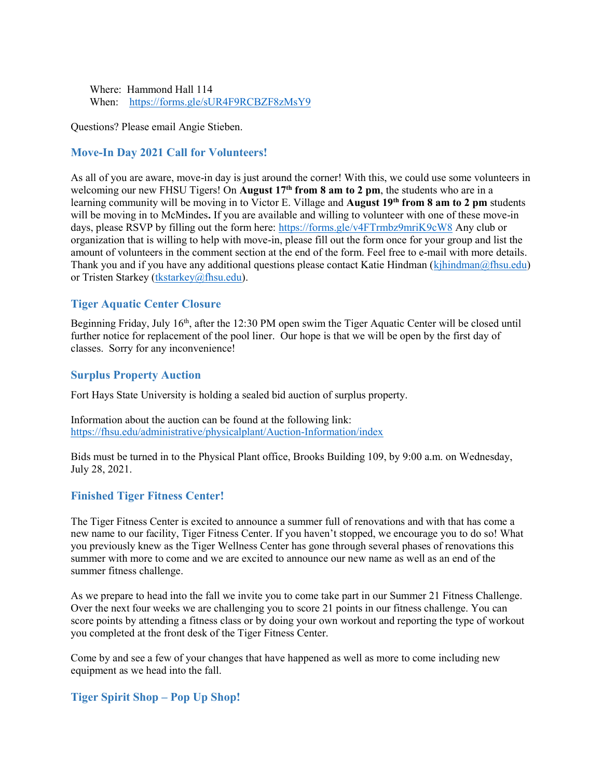Where: Hammond Hall 114 When: https://forms.gle/sUR4F9RCBZF8zMsY9

Questions? Please email Angie Stieben.

## Move-In Day 2021 Call for Volunteers!

As all of you are aware, move-in day is just around the corner! With this, we could use some volunteers in welcoming our new FHSU Tigers! On **August 17th from 8 am to 2 pm**, the students who are in a learning community will be moving in to Victor E. Village and **August 19<sup>th</sup> from 8 am to 2 pm** students will be moving in to McMindes. If you are available and willing to volunteer with one of these move-in days, please RSVP by filling out the form here: https://forms.gle/v4FTrmbz9mriK9cW8 Any club or organization that is willing to help with move-in, please fill out the form once for your group and list the amount of volunteers in the comment section at the end of the form. Feel free to e-mail with more details. Thank you and if you have any additional questions please contact Katie Hindman (kjhindman@fhsu.edu) or Tristen Starkey (tkstarkey@fhsu.edu).

## Tiger Aquatic Center Closure

Beginning Friday, July 16th, after the 12:30 PM open swim the Tiger Aquatic Center will be closed until further notice for replacement of the pool liner. Our hope is that we will be open by the first day of classes. Sorry for any inconvenience!

#### Surplus Property Auction

Fort Hays State University is holding a sealed bid auction of surplus property.

Information about the auction can be found at the following link: https://fhsu.edu/administrative/physicalplant/Auction-Information/index

Bids must be turned in to the Physical Plant office, Brooks Building 109, by 9:00 a.m. on Wednesday, July 28, 2021.

## Finished Tiger Fitness Center!

The Tiger Fitness Center is excited to announce a summer full of renovations and with that has come a new name to our facility, Tiger Fitness Center. If you haven't stopped, we encourage you to do so! What you previously knew as the Tiger Wellness Center has gone through several phases of renovations this summer with more to come and we are excited to announce our new name as well as an end of the summer fitness challenge.

As we prepare to head into the fall we invite you to come take part in our Summer 21 Fitness Challenge. Over the next four weeks we are challenging you to score 21 points in our fitness challenge. You can score points by attending a fitness class or by doing your own workout and reporting the type of workout you completed at the front desk of the Tiger Fitness Center.

Come by and see a few of your changes that have happened as well as more to come including new equipment as we head into the fall.

## Tiger Spirit Shop – Pop Up Shop!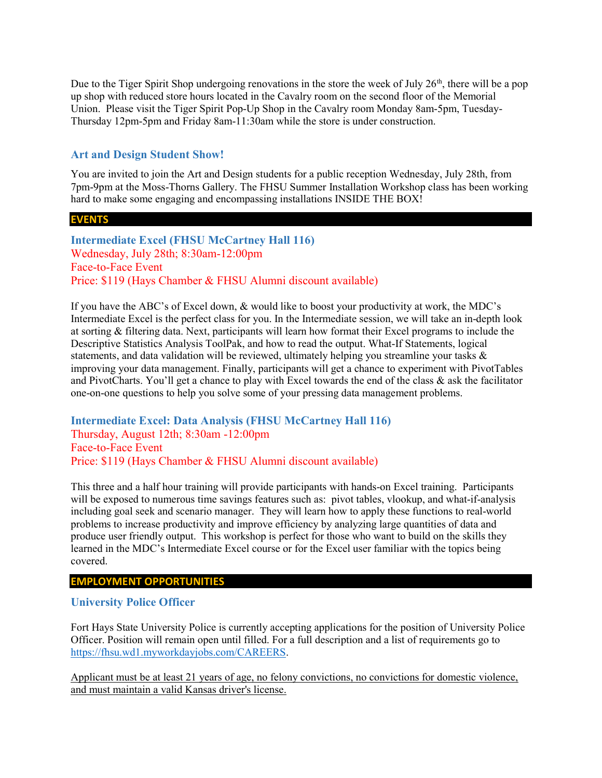Due to the Tiger Spirit Shop undergoing renovations in the store the week of July 26<sup>th</sup>, there will be a pop up shop with reduced store hours located in the Cavalry room on the second floor of the Memorial Union. Please visit the Tiger Spirit Pop-Up Shop in the Cavalry room Monday 8am-5pm, Tuesday-Thursday 12pm-5pm and Friday 8am-11:30am while the store is under construction.

## Art and Design Student Show!

You are invited to join the Art and Design students for a public reception Wednesday, July 28th, from 7pm-9pm at the Moss-Thorns Gallery. The FHSU Summer Installation Workshop class has been working hard to make some engaging and encompassing installations INSIDE THE BOX!

#### EVENTS

Intermediate Excel (FHSU McCartney Hall 116) Wednesday, July 28th; 8:30am-12:00pm Face-to-Face Event Price: \$119 (Hays Chamber & FHSU Alumni discount available)

If you have the ABC's of Excel down, & would like to boost your productivity at work, the MDC's Intermediate Excel is the perfect class for you. In the Intermediate session, we will take an in-depth look at sorting & filtering data. Next, participants will learn how format their Excel programs to include the Descriptive Statistics Analysis ToolPak, and how to read the output. What-If Statements, logical statements, and data validation will be reviewed, ultimately helping you streamline your tasks & improving your data management. Finally, participants will get a chance to experiment with PivotTables and PivotCharts. You'll get a chance to play with Excel towards the end of the class & ask the facilitator one-on-one questions to help you solve some of your pressing data management problems.

Intermediate Excel: Data Analysis (FHSU McCartney Hall 116) Thursday, August 12th; 8:30am -12:00pm Face-to-Face Event Price: \$119 (Hays Chamber & FHSU Alumni discount available)

This three and a half hour training will provide participants with hands-on Excel training. Participants will be exposed to numerous time savings features such as: pivot tables, vlookup, and what-if-analysis including goal seek and scenario manager. They will learn how to apply these functions to real-world problems to increase productivity and improve efficiency by analyzing large quantities of data and produce user friendly output. This workshop is perfect for those who want to build on the skills they learned in the MDC's Intermediate Excel course or for the Excel user familiar with the topics being covered.

#### EMPLOYMENT OPPORTUNITIES

## University Police Officer

Fort Hays State University Police is currently accepting applications for the position of University Police Officer. Position will remain open until filled. For a full description and a list of requirements go to https://fhsu.wd1.myworkdayjobs.com/CAREERS.

Applicant must be at least 21 years of age, no felony convictions, no convictions for domestic violence, and must maintain a valid Kansas driver's license.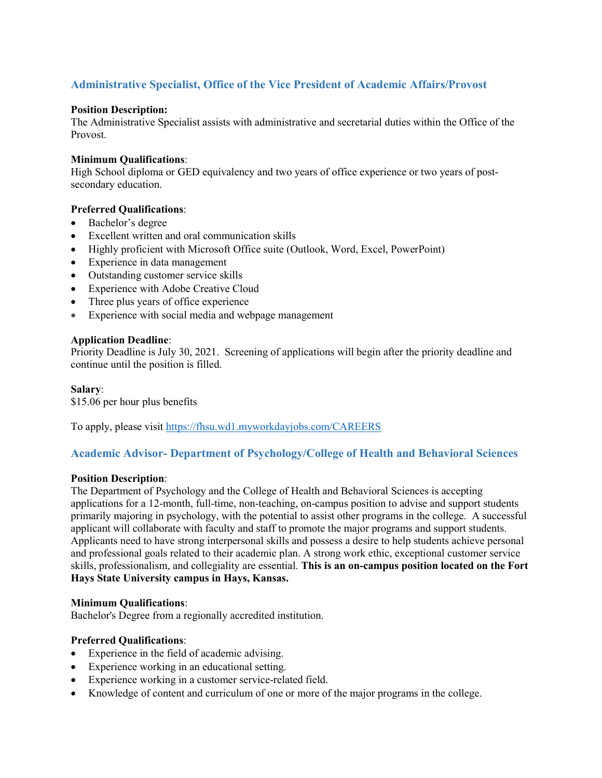## Administrative Specialist, Office of the Vice President of Academic Affairs/Provost

#### Position Description:

The Administrative Specialist assists with administrative and secretarial duties within the Office of the Provost.

#### Minimum Qualifications:

High School diploma or GED equivalency and two years of office experience or two years of postsecondary education.

#### Preferred Qualifications:

- Bachelor's degree
- Excellent written and oral communication skills
- Highly proficient with Microsoft Office suite (Outlook, Word, Excel, PowerPoint)
- Experience in data management
- Outstanding customer service skills
- Experience with Adobe Creative Cloud
- Three plus years of office experience
- Experience with social media and webpage management

#### Application Deadline:

Priority Deadline is July 30, 2021. Screening of applications will begin after the priority deadline and continue until the position is filled.

Salary: \$15.06 per hour plus benefits

To apply, please visit https://fhsu.wd1.myworkdayjobs.com/CAREERS

## Academic Advisor- Department of Psychology/College of Health and Behavioral Sciences

#### Position Description:

The Department of Psychology and the College of Health and Behavioral Sciences is accepting applications for a 12-month, full-time, non-teaching, on-campus position to advise and support students primarily majoring in psychology, with the potential to assist other programs in the college. A successful applicant will collaborate with faculty and staff to promote the major programs and support students. Applicants need to have strong interpersonal skills and possess a desire to help students achieve personal and professional goals related to their academic plan. A strong work ethic, exceptional customer service skills, professionalism, and collegiality are essential. This is an on-campus position located on the Fort Hays State University campus in Hays, Kansas.

#### Minimum Qualifications:

Bachelor's Degree from a regionally accredited institution.

## Preferred Qualifications:

- Experience in the field of academic advising.
- Experience working in an educational setting.
- Experience working in a customer service-related field.
- Knowledge of content and curriculum of one or more of the major programs in the college.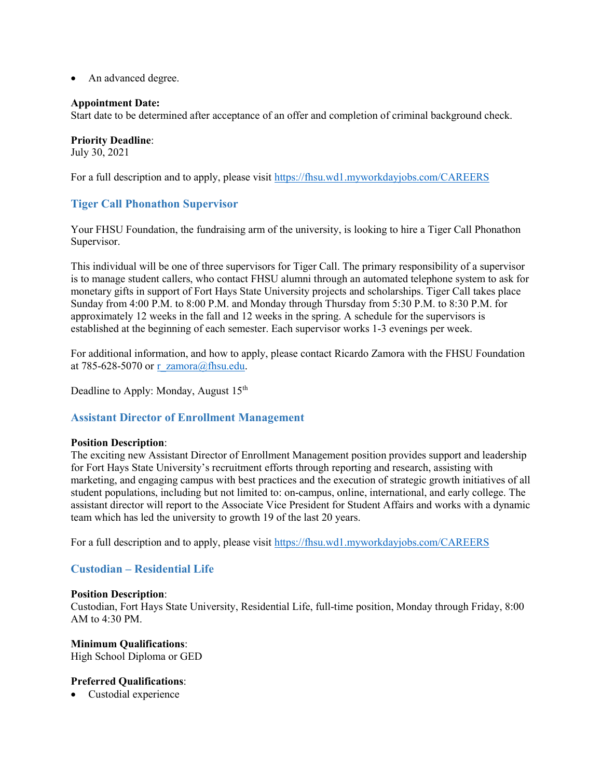• An advanced degree.

#### Appointment Date:

Start date to be determined after acceptance of an offer and completion of criminal background check.

## Priority Deadline:

July 30, 2021

For a full description and to apply, please visit https://fhsu.wd1.myworkdayjobs.com/CAREERS

## Tiger Call Phonathon Supervisor

Your FHSU Foundation, the fundraising arm of the university, is looking to hire a Tiger Call Phonathon Supervisor.

This individual will be one of three supervisors for Tiger Call. The primary responsibility of a supervisor is to manage student callers, who contact FHSU alumni through an automated telephone system to ask for monetary gifts in support of Fort Hays State University projects and scholarships. Tiger Call takes place Sunday from 4:00 P.M. to 8:00 P.M. and Monday through Thursday from 5:30 P.M. to 8:30 P.M. for approximately 12 weeks in the fall and 12 weeks in the spring. A schedule for the supervisors is established at the beginning of each semester. Each supervisor works 1-3 evenings per week.

For additional information, and how to apply, please contact Ricardo Zamora with the FHSU Foundation at 785-628-5070 or r\_zamora@fhsu.edu.

Deadline to Apply: Monday, August 15<sup>th</sup>

## Assistant Director of Enrollment Management

#### Position Description:

The exciting new Assistant Director of Enrollment Management position provides support and leadership for Fort Hays State University's recruitment efforts through reporting and research, assisting with marketing, and engaging campus with best practices and the execution of strategic growth initiatives of all student populations, including but not limited to: on-campus, online, international, and early college. The assistant director will report to the Associate Vice President for Student Affairs and works with a dynamic team which has led the university to growth 19 of the last 20 years.

For a full description and to apply, please visit https://fhsu.wd1.myworkdayjobs.com/CAREERS

## Custodian – Residential Life

#### Position Description:

Custodian, Fort Hays State University, Residential Life, full-time position, Monday through Friday, 8:00 AM to 4:30 PM.

#### Minimum Qualifications:

High School Diploma or GED

#### Preferred Qualifications:

Custodial experience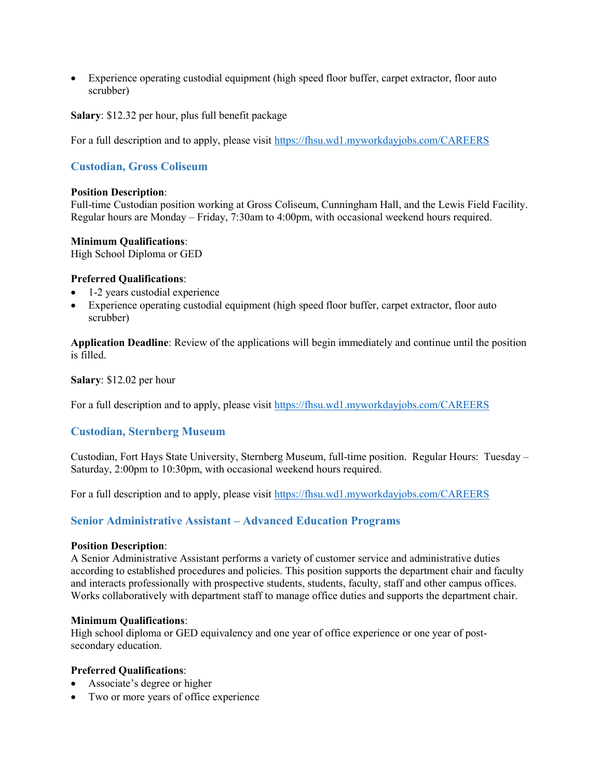Experience operating custodial equipment (high speed floor buffer, carpet extractor, floor auto scrubber)

Salary: \$12.32 per hour, plus full benefit package

For a full description and to apply, please visit https://fhsu.wd1.myworkdayjobs.com/CAREERS

## Custodian, Gross Coliseum

#### Position Description:

Full-time Custodian position working at Gross Coliseum, Cunningham Hall, and the Lewis Field Facility. Regular hours are Monday – Friday, 7:30am to 4:00pm, with occasional weekend hours required.

#### Minimum Qualifications:

High School Diploma or GED

#### Preferred Qualifications:

- 1-2 years custodial experience
- Experience operating custodial equipment (high speed floor buffer, carpet extractor, floor auto scrubber)

Application Deadline: Review of the applications will begin immediately and continue until the position is filled.

#### Salary: \$12.02 per hour

For a full description and to apply, please visit https://fhsu.wd1.myworkdayjobs.com/CAREERS

## Custodian, Sternberg Museum

Custodian, Fort Hays State University, Sternberg Museum, full-time position. Regular Hours: Tuesday – Saturday, 2:00pm to 10:30pm, with occasional weekend hours required.

For a full description and to apply, please visit https://fhsu.wd1.myworkdayjobs.com/CAREERS

#### Senior Administrative Assistant – Advanced Education Programs

#### Position Description:

A Senior Administrative Assistant performs a variety of customer service and administrative duties according to established procedures and policies. This position supports the department chair and faculty and interacts professionally with prospective students, students, faculty, staff and other campus offices. Works collaboratively with department staff to manage office duties and supports the department chair.

#### Minimum Qualifications:

High school diploma or GED equivalency and one year of office experience or one year of postsecondary education.

#### Preferred Qualifications:

- Associate's degree or higher
- Two or more years of office experience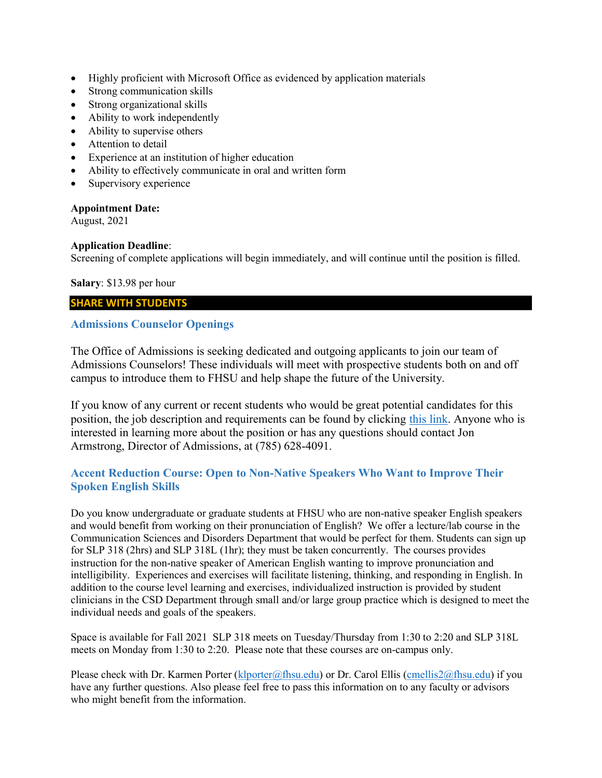- Highly proficient with Microsoft Office as evidenced by application materials
- Strong communication skills
- Strong organizational skills
- Ability to work independently
- Ability to supervise others
- Attention to detail
- Experience at an institution of higher education
- Ability to effectively communicate in oral and written form
- Supervisory experience

#### Appointment Date:

August, 2021

#### Application Deadline:

Screening of complete applications will begin immediately, and will continue until the position is filled.

#### Salary: \$13.98 per hour

## SHARE WITH STUDENTS

#### Admissions Counselor Openings

The Office of Admissions is seeking dedicated and outgoing applicants to join our team of Admissions Counselors! These individuals will meet with prospective students both on and off campus to introduce them to FHSU and help shape the future of the University.

If you know of any current or recent students who would be great potential candidates for this position, the job description and requirements can be found by clicking this link. Anyone who is interested in learning more about the position or has any questions should contact Jon Armstrong, Director of Admissions, at (785) 628-4091.

## Accent Reduction Course: Open to Non-Native Speakers Who Want to Improve Their Spoken English Skills

Do you know undergraduate or graduate students at FHSU who are non-native speaker English speakers and would benefit from working on their pronunciation of English? We offer a lecture/lab course in the Communication Sciences and Disorders Department that would be perfect for them. Students can sign up for SLP 318 (2hrs) and SLP 318L (1hr); they must be taken concurrently. The courses provides instruction for the non-native speaker of American English wanting to improve pronunciation and intelligibility. Experiences and exercises will facilitate listening, thinking, and responding in English. In addition to the course level learning and exercises, individualized instruction is provided by student clinicians in the CSD Department through small and/or large group practice which is designed to meet the individual needs and goals of the speakers.

Space is available for Fall 2021 SLP 318 meets on Tuesday/Thursday from 1:30 to 2:20 and SLP 318L meets on Monday from 1:30 to 2:20. Please note that these courses are on-campus only.

Please check with Dr. Karmen Porter (klporter@fhsu.edu) or Dr. Carol Ellis (cmellis2@fhsu.edu) if you have any further questions. Also please feel free to pass this information on to any faculty or advisors who might benefit from the information.